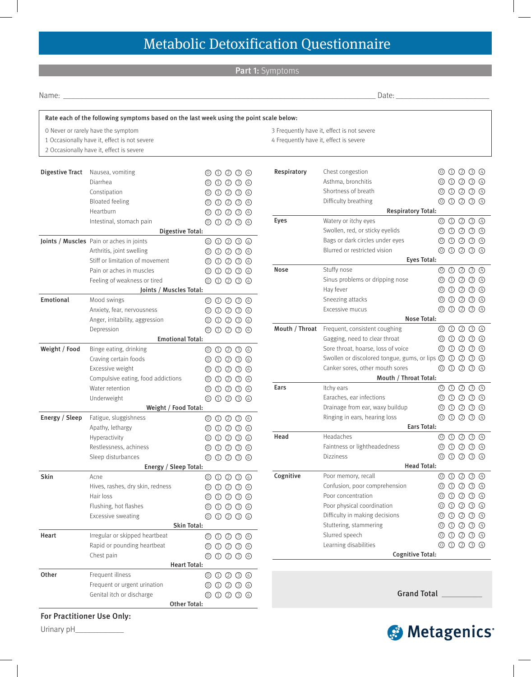# Metabolic Detoxification Questionnaire

Part 1: Symptoms

Name: \_\_\_\_\_\_\_\_\_\_\_\_\_\_\_\_\_\_\_\_\_\_\_\_\_\_\_\_\_\_\_\_\_\_\_\_\_\_\_\_\_\_\_\_\_\_\_\_\_\_\_\_\_\_\_\_\_\_\_\_\_\_\_\_\_\_\_\_\_\_\_\_\_\_\_\_\_ Date: \_\_\_\_\_\_\_\_\_\_\_\_\_\_\_\_\_\_\_\_\_\_\_

|                | O Never or rarely have the symptom           |                                                             | 3 Frequently have it, effect is not severe |                                                                                                   |  |  |                                                                        |  |
|----------------|----------------------------------------------|-------------------------------------------------------------|--------------------------------------------|---------------------------------------------------------------------------------------------------|--|--|------------------------------------------------------------------------|--|
|                | 1 Occasionally have it, effect is not severe |                                                             | 4 Frequently have it, effect is severe     |                                                                                                   |  |  |                                                                        |  |
|                | 2 Occasionally have it, effect is severe     |                                                             |                                            |                                                                                                   |  |  |                                                                        |  |
|                | Digestive Tract Nausea, vomiting             | $\circledcirc \circledcirc \circledcirc \circledcirc$       | Respiratory                                | Chest congestion                                                                                  |  |  | $\begin{array}{ccc} \odot & \odot & \odot & \odot & \odot \end{array}$ |  |
|                | Diarrhea                                     | $\circledcirc$ $\circledcirc$ $\circledcirc$ $\circledcirc$ |                                            | Asthma, bronchitis                                                                                |  |  | $\circledcirc \circledcirc \circledcirc \circledcirc$                  |  |
|                | Constipation                                 | $\circledcirc \circledcirc \circledcirc \circledcirc$       |                                            | Shortness of breath                                                                               |  |  | $\begin{array}{ccc} \circ & \circ & \circ & \circ & \circ \end{array}$ |  |
|                | <b>Bloated feeling</b>                       | $\circledcirc \circledcirc \circledcirc \circledcirc$       |                                            | Difficulty breathing                                                                              |  |  | $\circledcirc \circledcirc \circledcirc \circledcirc$                  |  |
|                | Heartburn                                    | $\circledcirc \circledcirc \circledcirc \circledcirc$       |                                            | <b>Respiratory Total:</b>                                                                         |  |  |                                                                        |  |
|                | Intestinal, stomach pain                     | $\circledcirc \circledcirc \circledcirc \circledcirc$       | Eyes                                       | Watery or itchy eyes                                                                              |  |  | $\circledcirc \circledcirc \circledcirc \circledcirc$                  |  |
|                | Digestive Total:                             |                                                             |                                            | Swollen, red, or sticky eyelids                                                                   |  |  | $\begin{array}{ccc} \circ & \circ & \circ & \circ & \circ \end{array}$ |  |
|                | Joints / Muscles Pain or aches in joints     | $\circledcirc \circledcirc \circledcirc \circledcirc$       |                                            | Bags or dark circles under eyes                                                                   |  |  | $\circledcirc \circledcirc \circledcirc \circledcirc$                  |  |
|                | Arthritis, joint swelling                    | $\circledcirc \circledcirc \circledcirc \circledcirc$       |                                            | Blurred or restricted vision                                                                      |  |  | $\circledcirc \circledcirc \circledcirc \circledcirc$                  |  |
|                | Stiff or limitation of movement              | $\circledcirc$ $\circledcirc$ $\circledcirc$ $\circledcirc$ |                                            | <b>Eyes Total:</b>                                                                                |  |  |                                                                        |  |
|                | Pain or aches in muscles                     | $\circledcirc$ $\circledcirc$ $\circledcirc$ $\circledcirc$ | Nose                                       | Stuffy nose                                                                                       |  |  | $\begin{array}{ccc} \circ & \circ & \circ & \circ & \circ \end{array}$ |  |
|                | Feeling of weakness or tired                 | $\circledcirc$ $\circledcirc$ $\circledcirc$ $\circledcirc$ |                                            | Sinus problems or dripping nose                                                                   |  |  | $\circledcirc \circledcirc \circledcirc \circledcirc$                  |  |
|                | Joints / Muscles Total:                      |                                                             |                                            | Hay fever                                                                                         |  |  | 0000                                                                   |  |
| Emotional      | Mood swings                                  | $\circledcirc \circledcirc \circledcirc \circledcirc$       |                                            | Sneezing attacks                                                                                  |  |  | $O$ $O$ $O$ $O$                                                        |  |
|                | Anxiety, fear, nervousness                   | $\circledcirc \circledcirc \circledcirc \circledcirc$       |                                            | Excessive mucus                                                                                   |  |  | $\circledcirc \circledcirc \circledcirc \circledcirc$                  |  |
|                | Anger, irritability, aggression              | $\circledcirc \circledcirc \circledcirc \circledcirc$       |                                            | <b>Nose Total:</b>                                                                                |  |  |                                                                        |  |
|                | Depression                                   | $\circledcirc \circledcirc \circledcirc \circledcirc$       |                                            | Mouth / Throat Frequent, consistent coughing                                                      |  |  | $\circledcirc$ $\circledcirc$ $\circledcirc$ $\circledcirc$            |  |
|                | <b>Emotional Total:</b>                      |                                                             |                                            | Gagging, need to clear throat                                                                     |  |  | 000000                                                                 |  |
| Weight / Food  | Binge eating, drinking                       | $\circledcirc \circledcirc \circledcirc \circledcirc$       |                                            | Sore throat, hoarse, loss of voice                                                                |  |  |                                                                        |  |
|                | Craving certain foods                        | $\circledcirc \circledcirc \circledcirc \circledcirc$       |                                            | Swollen or discolored tongue, gums, or lips $\circledcirc \circledcirc \circledcirc \circledcirc$ |  |  |                                                                        |  |
|                | Excessive weight                             | $\circledcirc \circledcirc \circledcirc \circledcirc$       |                                            | Canker sores, other mouth sores                                                                   |  |  | $\circledcirc \circledcirc \circledcirc \circledcirc$                  |  |
|                | Compulsive eating, food addictions           | $\circledcirc \circledcirc \circledcirc \circledcirc$       |                                            | Mouth / Throat Total:                                                                             |  |  |                                                                        |  |
|                | Water retention                              | $\circledcirc \circledcirc \circledcirc \circledcirc$       | Ears                                       | Itchy ears                                                                                        |  |  | $\circledcirc \circledcirc \circledcirc \circledcirc$                  |  |
|                | Underweight                                  | $\circledcirc \circledcirc \circledcirc \circledcirc$       |                                            | Earaches, ear infections                                                                          |  |  | $\begin{array}{ccc} \odot & \odot & \odot & \odot & \odot \end{array}$ |  |
|                | Weight / Food Total:                         |                                                             |                                            | Drainage from ear, waxy buildup                                                                   |  |  |                                                                        |  |
| Energy / Sleep | Fatigue, sluggishness                        | $\circledcirc \circledcirc \circledcirc \circledcirc$       |                                            | Ringing in ears, hearing loss                                                                     |  |  | $\begin{array}{ccc} \circ & \circ & \circ & \circ & \circ \end{array}$ |  |
|                | Apathy, lethargy                             | $\circledcirc \circledcirc \circledcirc \circledcirc$       |                                            | <b>Ears Total:</b>                                                                                |  |  |                                                                        |  |
|                | Hyperactivity                                | $\circledcirc \circledcirc \circledcirc$<br>(0)             | Head                                       | Headaches                                                                                         |  |  | $\circledcirc \circledcirc \circledcirc \circledcirc$                  |  |
|                | Restlessness, achiness                       | $O$ $O$ $O$ $O$<br>(0)                                      |                                            | Faintness or lightheadedness                                                                      |  |  | 000000                                                                 |  |
|                | Sleep disturbances                           | $\circledcirc \circledcirc \circledcirc \circledcirc$       |                                            | <b>Dizziness</b>                                                                                  |  |  |                                                                        |  |
|                | Energy / Sleep Total:                        |                                                             |                                            | <b>Head Total:</b>                                                                                |  |  |                                                                        |  |
| Skin<br>Heart  | Acne                                         | $\circledcirc \circledcirc \circledcirc \circledcirc$       | Cognitive                                  | Poor memory, recall                                                                               |  |  | $\circledcirc \circledcirc \circledcirc \circledcirc$                  |  |
|                | Hives, rashes, dry skin, redness             | $\circledcirc \circledcirc \circledcirc \circledcirc$       |                                            | Confusion, poor comprehension                                                                     |  |  |                                                                        |  |
|                | Hair loss                                    | $\circledcirc \circledcirc \circledcirc \circledcirc$       |                                            | Poor concentration                                                                                |  |  | $\circledcirc \circledcirc \circledcirc \circledcirc$                  |  |
|                | Flushing, hot flashes                        | $\circledcirc \circledcirc \circledcirc \circledcirc$       |                                            | Poor physical coordination                                                                        |  |  | $\begin{array}{ccc} \odot & \odot & \odot & \odot & \odot \end{array}$ |  |
|                | Excessive sweating                           | $\circledcirc \circledcirc \circledcirc \circledcirc$       |                                            | Difficulty in making decisions                                                                    |  |  | 0000000                                                                |  |
|                | Skin Total:                                  |                                                             |                                            | Stuttering, stammering                                                                            |  |  | $\circledcirc \circledcirc \circledcirc \circledcirc$                  |  |
|                | Irregular or skipped heartbeat               | $\circledcirc \circledcirc \circledcirc \circledcirc$       |                                            | Slurred speech                                                                                    |  |  | $\circledcirc \circledcirc \circledcirc \circledcirc$                  |  |
|                | Rapid or pounding heartbeat                  | $\circledcirc \circledcirc \circledcirc \circledcirc$       |                                            | Learning disabilities                                                                             |  |  | $\circledcirc \circledcirc \circledcirc \circledcirc$                  |  |
|                | Chest pain                                   | $\circledcirc \circledcirc \circledcirc \circledcirc$       |                                            | <b>Cognitive Total:</b>                                                                           |  |  |                                                                        |  |
|                | <b>Heart Total:</b>                          |                                                             |                                            |                                                                                                   |  |  |                                                                        |  |
| Other          | Frequent illness                             | $\circledcirc \circledcirc \circledcirc \circledcirc$       |                                            |                                                                                                   |  |  |                                                                        |  |
|                | Frequent or urgent urination                 | $\circledcirc \circledcirc \circledcirc \circledcirc$       |                                            |                                                                                                   |  |  |                                                                        |  |
|                | Genital itch or discharge                    | $\circledcirc \circledcirc \circledcirc \circledcirc$       |                                            | <b>Grand Total</b>                                                                                |  |  |                                                                        |  |

Urinary pH\_\_\_\_\_\_\_\_\_\_\_\_